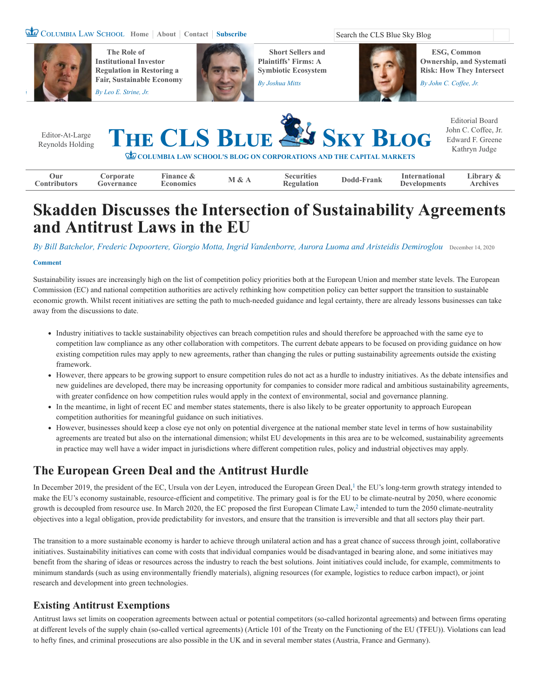

**The Role of Institutional Investor Regulation in Restoring a [Fair, Sustainable Economy](https://clsbluesky.law.columbia.edu/2020/10/27/the-central-role-of-institutional-investor-regulation-in-restoring-a-fair-and-sustainable-american-economy/)** *By [Leo E. Strine, Jr.](https://clsbluesky.law.columbia.edu/author/leo-e-strine/)*



**Short Sellers and Plaintiffs' Firms: A [Symbiotic Ecosystem](https://clsbluesky.law.columbia.edu/2020/10/14/short-sellers-and-plaintiffs-firms-a-symbiotic-ecosystem/)**

*By [Joshua Mitts](https://clsbluesky.law.columbia.edu/author/joshua-mitts/)*



**ESG, Common Ownership, and Systemati Risk: How They Intersect**

*By [John C. Coffee, Jr.](https://clsbluesky.law.columbia.edu/author/john-c-coffee-jr/)*



# **Skadden Discusses the Intersection of Sustainability Agreements and Antitrust Laws in the EU**

*By [Bill Batchelor](https://clsbluesky.law.columbia.edu/author/bill-batchelor/), [Frederic Depoortere](https://clsbluesky.law.columbia.edu/author/frederic-depoortere/), [Giorgio Motta](https://clsbluesky.law.columbia.edu/author/giorgio-motta/), [Ingrid Vandenborre,](https://clsbluesky.law.columbia.edu/author/ingrid-vandenborre/) [Aurora Luoma](https://clsbluesky.law.columbia.edu/author/aurora-luoma/) and [Aristeidis Demiroglou](https://clsbluesky.law.columbia.edu/author/aristeidis-demiroglou/)* [December 14, 2020](https://clsbluesky.law.columbia.edu/2020/12/14/skadden-discusses-the-intersection-of-sustainability-agreements-and-antitrust-laws-in-the-eu/)

#### **[Comment](#page-3-0)**

Sustainability issues are increasingly high on the list of competition policy priorities both at the European Union and member state levels. The European Commission (EC) and national competition authorities are actively rethinking how competition policy can better support the transition to sustainable economic growth. Whilst recent initiatives are setting the path to much-needed guidance and legal certainty, there are already lessons businesses can take away from the discussions to date.

- Industry initiatives to tackle sustainability objectives can breach competition rules and should therefore be approached with the same eye to competition law compliance as any other collaboration with competitors. The current debate appears to be focused on providing guidance on how existing competition rules may apply to new agreements, rather than changing the rules or putting sustainability agreements outside the existing framework.
- However, there appears to be growing support to ensure competition rules do not act as a hurdle to industry initiatives. As the debate intensifies and new guidelines are developed, there may be increasing opportunity for companies to consider more radical and ambitious sustainability agreements, with greater confidence on how competition rules would apply in the context of environmental, social and governance planning.
- In the meantime, in light of recent EC and member states statements, there is also likely to be greater opportunity to approach European competition authorities for meaningful guidance on such initiatives.
- However, businesses should keep a close eye not only on potential divergence at the national member state level in terms of how sustainability agreements are treated but also on the international dimension; whilst EU developments in this area are to be welcomed, sustainability agreements in practice may well have a wider impact in jurisdictions where different competition rules, policy and industrial objectives may apply.

### **The European Green Deal and the Antitrust Hurdle**

In December 2019, the president of the EC, Ursula von der Leyen, introduced the European Green Deal, <sup>1</sup> the EU's long-term growth strategy intended to make the EU's economy sustainable, resource-efficient and competitive. The primary goal is for the EU to be climate-neutral by 2050, where economic growth is decoupled from resource use. In March 2020, the EC proposed the first European Climate Law,<sup>2</sup> intended to turn the 2050 climate-neutrality objectives into a legal obligation, provide predictability for investors, and ensure that the transition is irreversible and that all sectors play their part.

The transition to a more sustainable economy is harder to achieve through unilateral action and has a great chance of success through joint, collaborative initiatives. Sustainability initiatives can come with costs that individual companies would be disadvantaged in bearing alone, and some initiatives may benefit from the sharing of ideas or resources across the industry to reach the best solutions. Joint initiatives could include, for example, commitments to minimum standards (such as using environmentally friendly materials), aligning resources (for example, logistics to reduce carbon impact), or joint research and development into green technologies.

#### **Existing Antitrust Exemptions**

Antitrust laws set limits on cooperation agreements between actual or potential competitors (so-called horizontal agreements) and between firms operating at different levels of the supply chain (so-called vertical agreements) (Article 101 of the Treaty on the Functioning of the EU (TFEU)). Violations can lead to hefty fines, and criminal prosecutions are also possible in the UK and in several member states (Austria, France and Germany).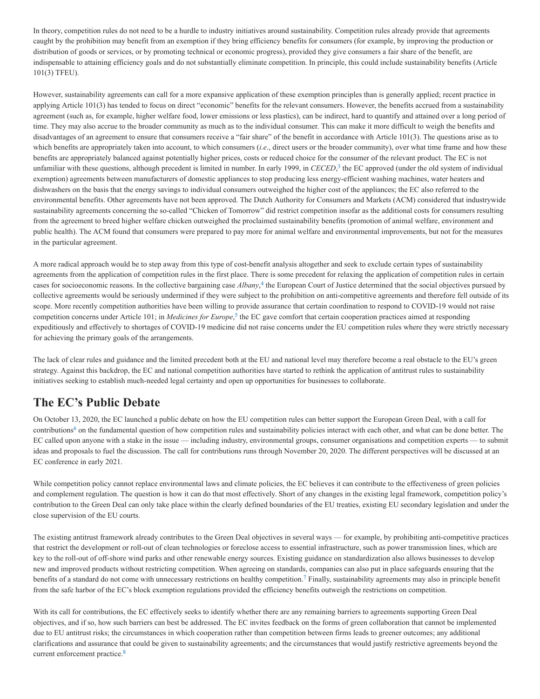In theory, competition rules do not need to be a hurdle to industry initiatives around sustainability. Competition rules already provide that agreements caught by the prohibition may benefit from an exemption if they bring efficiency benefits for consumers (for example, by improving the production or distribution of goods or services, or by promoting technical or economic progress), provided they give consumers a fair share of the benefit, are indispensable to attaining efficiency goals and do not substantially eliminate competition. In principle, this could include sustainability benefits (Article 101(3) TFEU).

However, sustainability agreements can call for a more expansive application of these exemption principles than is generally applied; recent practice in applying Article 101(3) has tended to focus on direct "economic" benefits for the relevant consumers. However, the benefits accrued from a sustainability agreement (such as, for example, higher welfare food, lower emissions or less plastics), can be indirect, hard to quantify and attained over a long period of time. They may also accrue to the broader community as much as to the individual consumer. This can make it more difficult to weigh the benefits and disadvantages of an agreement to ensure that consumers receive a "fair share" of the benefit in accordance with Article 101(3). The questions arise as to which benefits are appropriately taken into account, to which consumers (*i.e.*, direct users or the broader community), over what time frame and how these benefits are appropriately balanced against potentially higher prices, costs or reduced choice for the consumer of the relevant product. The EC is not unfamiliar with these questions, although precedent is limited in number. In early 1999, in  $CECED$ <sup>3</sup>, the EC approved (under the old system of individual exemption) agreements between manufacturers of domestic appliances to stop producing less energy-efficient washing machines, water heaters and dishwashers on the basis that the energy savings to individual consumers outweighed the higher cost of the appliances; the EC also referred to the environmental benefits. Other agreements have not been approved. The Dutch Authority for Consumers and Markets (ACM) considered that industrywide sustainability agreements concerning the so-called "Chicken of Tomorrow" did restrict competition insofar as the additional costs for consumers resulting from the agreement to breed higher welfare chicken outweighed the proclaimed sustainability benefits (promotion of animal welfare, environment and public health). The ACM found that consumers were prepared to pay more for animal welfare and environmental improvements, but not for the measures in the particular agreement.

A more radical approach would be to step away from this type of cost-benefit analysis altogether and seek to exclude certain types of sustainability agreements from the application of competition rules in the first place. There is some precedent for relaxing the application of competition rules in certain cases for socioeconomic reasons. In the collective bargaining case *Albany*,<sup>4</sup> the European Court of Justice determined that the social objectives pursued by collective agreements would be seriously undermined if they were subject to the prohibition on anti-competitive agreements and therefore fell outside of its scope. More recently competition authorities have been willing to provide assurance that certain coordination to respond to COVID-19 would not raise competition concerns under Article 101; in *Medicines for Europe*,<sup>5</sup> the EC gave comfort that certain cooperation practices aimed at responding expeditiously and effectively to shortages of COVID-19 medicine did not raise concerns under the EU competition rules where they were strictly necessary for achieving the primary goals of the arrangements.

The lack of clear rules and guidance and the limited precedent both at the EU and national level may therefore become a real obstacle to the EU's green strategy. Against this backdrop, the EC and national competition authorities have started to rethink the application of antitrust rules to sustainability initiatives seeking to establish much-needed legal certainty and open up opportunities for businesses to collaborate.

### **The EC's Public Debate**

On October 13, 2020, the EC launched a public debate on how the EU competition rules can better support the European Green Deal, with a call for contributions<sup>6</sup> on the fundamental question of how competition rules and sustainability policies interact with each other, and what can be done better. The EC called upon anyone with a stake in the issue — including industry, environmental groups, consumer organisations and competition experts — to submit ideas and proposals to fuel the discussion. The call for contributions runs through November 20, 2020. The different perspectives will be discussed at an EC conference in early 2021.

While competition policy cannot replace environmental laws and climate policies, the EC believes it can contribute to the effectiveness of green policies and complement regulation. The question is how it can do that most effectively. Short of any changes in the existing legal framework, competition policy's contribution to the Green Deal can only take place within the clearly defined boundaries of the EU treaties, existing EU secondary legislation and under the close supervision of the EU courts.

The existing antitrust framework already contributes to the Green Deal objectives in several ways — for example, by prohibiting anti-competitive practices that restrict the development or roll-out of clean technologies or foreclose access to essential infrastructure, such as power transmission lines, which are key to the roll-out of off-shore wind parks and other renewable energy sources. Existing guidance on standardization also allows businesses to develop new and improved products without restricting competition. When agreeing on standards, companies can also put in place safeguards ensuring that the benefits of a standard do not come with unnecessary restrictions on healthy competition.<sup>7</sup> Finally, sustainability agreements may also in principle benefit from the safe harbor of the EC's block exemption regulations provided the efficiency benefits outweigh the restrictions on competition.

With its call for contributions, the EC effectively seeks to identify whether there are any remaining barriers to agreements supporting Green Deal objectives, and if so, how such barriers can best be addressed. The EC invites feedback on the forms of green collaboration that cannot be implemented due to EU antitrust risks; the circumstances in which cooperation rather than competition between firms leads to greener outcomes; any additional clarifications and assurance that could be given to sustainability agreements; and the circumstances that would justify restrictive agreements beyond the current enforcement practice.<sup>8</sup>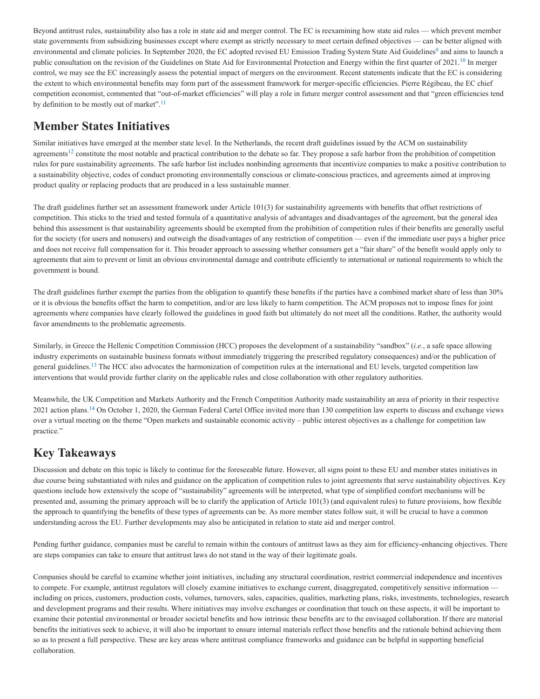Beyond antitrust rules, sustainability also has a role in state aid and merger control. The EC is reexamining how state aid rules — which prevent member state governments from subsidizing businesses except where exempt as strictly necessary to meet certain defined objectives — can be better aligned with environmental and climate policies. In September 2020, the EC adopted revised EU Emission Trading System State Aid Guidelines<sup>9</sup> and aims to launch a public consultation on the revision of the Guidelines on State Aid for Environmental Protection and Energy within the first quarter of 2021.<sup>10</sup> In merger control, we may see the EC increasingly assess the potential impact of mergers on the environment. Recent statements indicate that the EC is considering the extent to which environmental benefits may form part of the assessment framework for merger-specific efficiencies. Pierre Régibeau, the EC chief competition economist, commented that "out-of-market efficiencies" will play a role in future merger control assessment and that "green efficiencies tend by definition to be mostly out of market".<sup>11</sup>

### **Member States Initiatives**

Similar initiatives have emerged at the member state level. In the Netherlands, the recent draft guidelines issued by the ACM on sustainability agreements<sup>12</sup> constitute the most notable and practical contribution to the debate so far. They propose a safe harbor from the prohibition of competition rules for pure sustainability agreements. The safe harbor list includes nonbinding agreements that incentivize companies to make a positive contribution to a sustainability objective, codes of conduct promoting environmentally conscious or climate-conscious practices, and agreements aimed at improving product quality or replacing products that are produced in a less sustainable manner.

The draft guidelines further set an assessment framework under Article 101(3) for sustainability agreements with benefits that offset restrictions of competition. This sticks to the tried and tested formula of a quantitative analysis of advantages and disadvantages of the agreement, but the general idea behind this assessment is that sustainability agreements should be exempted from the prohibition of competition rules if their benefits are generally useful for the society (for users and nonusers) and outweigh the disadvantages of any restriction of competition — even if the immediate user pays a higher price and does not receive full compensation for it. This broader approach to assessing whether consumers get a "fair share" of the benefit would apply only to agreements that aim to prevent or limit an obvious environmental damage and contribute efficiently to international or national requirements to which the government is bound.

The draft guidelines further exempt the parties from the obligation to quantify these benefits if the parties have a combined market share of less than 30% or it is obvious the benefits offset the harm to competition, and/or are less likely to harm competition. The ACM proposes not to impose fines for joint agreements where companies have clearly followed the guidelines in good faith but ultimately do not meet all the conditions. Rather, the authority would favor amendments to the problematic agreements.

Similarly, in Greece the Hellenic Competition Commission (HCC) proposes the development of a sustainability "sandbox" (i.e., a safe space allowing industry experiments on sustainable business formats without immediately triggering the prescribed regulatory consequences) and/or the publication of general guidelines.<sup>13</sup> The HCC also advocates the harmonization of competition rules at the international and EU levels, targeted competition law interventions that would provide further clarity on the applicable rules and close collaboration with other regulatory authorities.

Meanwhile, the UK Competition and Markets Authority and the French Competition Authority made sustainability an area of priority in their respective  $2021$  action plans.<sup>14</sup> On October 1, 2020, the German Federal Cartel Office invited more than 130 competition law experts to discuss and exchange views over a virtual meeting on the theme "Open markets and sustainable economic activity – public interest objectives as a challenge for competition law practice."

## **Key Takeaways**

Discussion and debate on this topic is likely to continue for the foreseeable future. However, all signs point to these EU and member states initiatives in due course being substantiated with rules and guidance on the application of competition rules to joint agreements that serve sustainability objectives. Key questions include how extensively the scope of "sustainability" agreements will be interpreted, what type of simplified comfort mechanisms will be presented and, assuming the primary approach will be to clarify the application of Article 101(3) (and equivalent rules) to future provisions, how flexible the approach to quantifying the benefits of these types of agreements can be. As more member states follow suit, it will be crucial to have a common understanding across the EU. Further developments may also be anticipated in relation to state aid and merger control.

Pending further guidance, companies must be careful to remain within the contours of antitrust laws as they aim for efficiency-enhancing objectives. There are steps companies can take to ensure that antitrust laws do not stand in the way of their legitimate goals.

Companies should be careful to examine whether joint initiatives, including any structural coordination, restrict commercial independence and incentives to compete. For example, antitrust regulators will closely examine initiatives to exchange current, disaggregated, competitively sensitive information including on prices, customers, production costs, volumes, turnovers, sales, capacities, qualities, marketing plans, risks, investments, technologies, research and development programs and their results. Where initiatives may involve exchanges or coordination that touch on these aspects, it will be important to examine their potential environmental or broader societal benefits and how intrinsic these benefits are to the envisaged collaboration. If there are material benefits the initiatives seek to achieve, it will also be important to ensure internal materials reflect those benefits and the rationale behind achieving them so as to present a full perspective. These are key areas where antitrust compliance frameworks and guidance can be helpful in supporting beneficial collaboration.